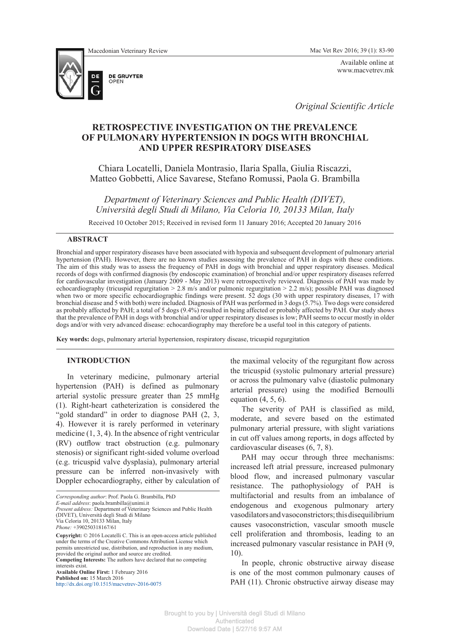Macedonian Veterinary Review

**DE GRUYTER**<br>OPEN

Mac Vet Rev 2016; 39 (1): 83-90

Available online at www.macvetrev.mk

*Original Scientific Article* 

# **RETROSPECTIVE INVESTIGATION ON THE PREVALENCE OF PULMONARY HYPERTENSION IN DOGS WITH BRONCHIAL AND UPPER RESPIRATORY DISEASES**

Chiara Locatelli, Daniela Montrasio, Ilaria Spalla, Giulia Riscazzi, Matteo Gobbetti, Alice Savarese, Stefano Romussi, Paola G. Brambilla

*Department of Veterinary Sciences and Public Health (DIVET), Università degli Studi di Milano, Via Celoria 10, 20133 Milan, Italy*

Received 10 October 2015; Received in revised form 11 January 2016; Accepted 20 January 2016

## **ABSTRACT**

Bronchial and upper respiratory diseases have been associated with hypoxia and subsequent development of pulmonary arterial hypertension (PAH). However, there are no known studies assessing the prevalence of PAH in dogs with these conditions. The aim of this study was to assess the frequency of PAH in dogs with bronchial and upper respiratory diseases. Medical records of dogs with confirmed diagnosis (by endoscopic examination) of bronchial and/or upper respiratory diseases referred for cardiovascular investigation (January 2009 - May 2013) were retrospectively reviewed. Diagnosis of PAH was made by echocardiography (tricuspid regurgitation > 2.8 m/s and/or pulmonic regurgitation > 2.2 m/s); possible PAH was diagnosed when two or more specific echocardiographic findings were present. 52 dogs (30 with upper respiratory diseases, 17 with bronchial disease and 5 with both) were included. Diagnosis of PAH was performed in 3 dogs (5.7%). Two dogs were considered as probably affected by PAH; a total of 5 dogs (9.4%) resulted in being affected or probably affected by PAH. Our study shows that the prevalence of PAH in dogs with bronchial and/or upper respiratory diseases is low; PAH seems to occur mostly in older dogs and/or with very advanced disease: echocardiography may therefore be a useful tool in this category of patients.

**Key words:** dogs, pulmonary arterial hypertension, respiratory disease, tricuspid regurgitation

## **INTRODUCTION**

In veterinary medicine, pulmonary arterial hypertension (PAH) is defined as pulmonary arterial systolic pressure greater than 25 mmHg (1). Right-heart catheterization is considered the "gold standard" in order to diagnose PAH  $(2, 3, 1)$ 4). However it is rarely performed in veterinary medicine  $(1, 3, 4)$ . In the absence of right ventricular  $(RV)$  outflow tract obstruction (e.g. pulmonary stenosis) or significant right-sided volume overload (e.g. tricuspid valve dysplasia), pulmonary arterial pressure can be inferred non-invasively with Doppler echocardiography, either by calculation of

(DIVET), Università degli Studi di Milano Via Celoria 10, 20133 Milan, Italy

*Phone:* +390250318167/61

**Available Online First:** 1 February 2016

**Published on:** 15 March 2016

http://dx.doi.org/10.1515/macvetrev-2016-0075

the maximal velocity of the regurgitant flow across the tricuspid (systolic pulmonary arterial pressure) or across the pulmonary valve (diastolic pulmonary arterial pressure) using the modified Bernoulli equation  $(4, 5, 6)$ .

The severity of PAH is classified as mild, moderate, and severe based on the estimated pulmonary arterial pressure, with slight variations in cut off values among reports, in dogs affected by cardiovascular diseases (6, 7, 8).

PAH may occur through three mechanisms: increased left atrial pressure, increased pulmonary blood flow, and increased pulmonary vascular resistance. The pathophysiology of PAH is multifactorial and results from an imbalance of endogenous and exogenous pulmonary artery vasodilators and vasoconstrictors; this disequilibrium causes vasoconstriction, vascular smooth muscle cell proliferation and thrombosis, leading to an increased pulmonary vascular resistance in PAH (9, 10).

In people, chronic obstructive airway disease is one of the most common pulmonary causes of PAH (11). Chronic obstructive airway disease may

*Corresponding author*: Prof. Paola G. Brambilla, PhD *E-mail address*: paola.brambilla@unimi.it *Present address:* Department of Veterinary Sciences and Public Health

**Copyright:** © 2016 Locatelli C. This is an open-access article published under the terms of the Creative Commons Attribution License which permits unrestricted use, distribution, and reproduction in any medium, provided the original author and source are credited. **Competing Interests:** The authors have declared that no competing interests exist.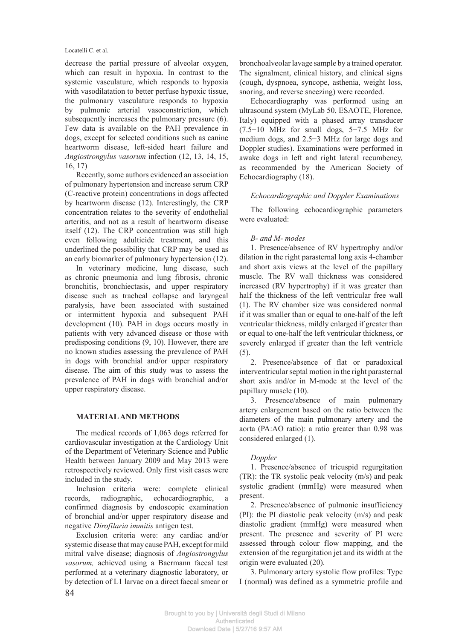decrease the partial pressure of alveolar oxygen, which can result in hypoxia. In contrast to the systemic vasculature, which responds to hypoxia with vasodilatation to better perfuse hypoxic tissue, the pulmonary vasculature responds to hypoxia by pulmonic arterial vasoconstriction, which subsequently increases the pulmonary pressure (6). Few data is available on the PAH prevalence in dogs, except for selected conditions such as canine heartworm disease, left-sided heart failure and *Angiostrongylus vasorum* infection (12, 13, 14, 15, 16, 17)

Recently, some authors evidenced an association of pulmonary hypertension and increase serum CRP (C-reactive protein) concentrations in dogs affected by heartworm disease (12). Interestingly, the CRP concentration relates to the severity of endothelial arteritis, and not as a result of heartworm disease itself (12). The CRP concentration was still high even following adulticide treatment, and this underlined the possibility that CRP may be used as an early biomarker of pulmonary hypertension (12).

In veterinary medicine, lung disease, such as chronic pneumonia and lung fibrosis, chronic bronchitis, bronchiectasis, and upper respiratory disease such as tracheal collapse and laryngeal paralysis, have been associated with sustained or intermittent hypoxia and subsequent PAH development (10). PAH in dogs occurs mostly in patients with very advanced disease or those with predisposing conditions (9, 10). However, there are no known studies assessing the prevalence of PAH in dogs with bronchial and/or upper respiratory disease. The aim of this study was to assess the prevalence of PAH in dogs with bronchial and/or upper respiratory disease.

### **MATERIAL AND METHODS**

The medical records of 1,063 dogs referred for cardiovascular investigation at the Cardiology Unit of the Department of Veterinary Science and Public Health between January 2009 and May 2013 were retrospectively reviewed. Only first visit cases were included in the study.

Inclusion criteria were: complete clinical records, radiographic, echocardiographic, a confirmed diagnosis by endoscopic examination of bronchial and/or upper respiratory disease and negative *Dirofilaria immitis* antigen test.

Exclusion criteria were: any cardiac and/or systemic disease that may cause PAH, except for mild mitral valve disease; diagnosis of *Angiostrongylus vasorum,* achieved using a Baermann faecal test performed at a veterinary diagnostic laboratory, or by detection of L1 larvae on a direct faecal smear or bronchoalveolar lavage sample by a trained operator. The signalment, clinical history, and clinical signs (cough, dyspnoea, syncope, asthenia, weight loss, snoring, and reverse sneezing) were recorded.

Echocardiography was performed using an ultrasound system (MyLab 50, ESAOTE, Florence, Italy) equipped with a phased array transducer (7.5−10 MHz for small dogs, 5−7.5 MHz for medium dogs, and 2.5−3 MHz for large dogs and Doppler studies). Examinations were performed in awake dogs in left and right lateral recumbency, as recommended by the American Society of Echocardiography (18).

## *Echocardiographic and Doppler Examinations*

The following echocardiographic parameters were evaluated:

#### *B- and M- modes*

1. Presence/absence of RV hypertrophy and/or dilation in the right parasternal long axis 4-chamber and short axis views at the level of the papillary muscle. The RV wall thickness was considered increased (RV hypertrophy) if it was greater than half the thickness of the left ventricular free wall (1). The RV chamber size was considered normal if it was smaller than or equal to one-half of the left ventricular thickness, mildly enlarged if greater than or equal to one-half the left ventricular thickness, or severely enlarged if greater than the left ventricle (5).

2. Presence/absence of flat or paradoxical interventricular septal motion in the right parasternal short axis and/or in M-mode at the level of the papillary muscle (10).

3. Presence/absence of main pulmonary artery enlargement based on the ratio between the diameters of the main pulmonary artery and the aorta (PA:AO ratio): a ratio greater than 0.98 was considered enlarged (1).

#### *Doppler*

1. Presence/absence of tricuspid regurgitation (TR): the TR systolic peak velocity (m/s) and peak systolic gradient (mmHg) were measured when present.

2. Presence/absence of pulmonic insufficiency (PI): the PI diastolic peak velocity (m/s) and peak diastolic gradient (mmHg) were measured when present. The presence and severity of PI were assessed through colour flow mapping, and the extension of the regurgitation jet and its width at the origin were evaluated (20).

3. Pulmonary artery systolic flow profiles: Type I (normal) was defined as a symmetric profile and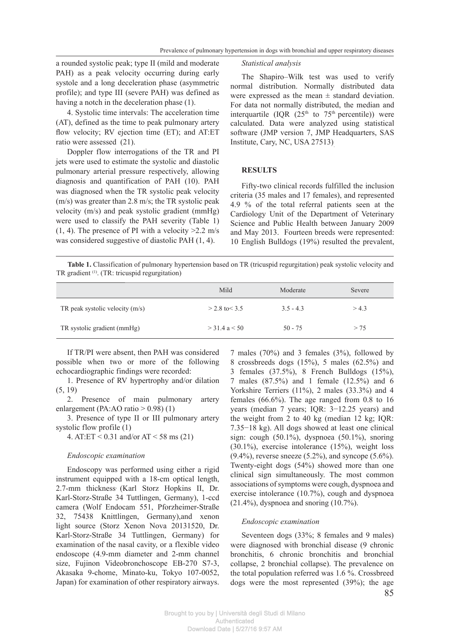a rounded systolic peak; type II (mild and moderate PAH) as a peak velocity occurring during early systole and a long deceleration phase (asymmetric profile); and type III (severe PAH) was defined as having a notch in the deceleration phase (1).

4. Systolic time intervals: The acceleration time (AT), defined as the time to peak pulmonary artery flow velocity; RV ejection time  $(ET)$ ; and  $AT:ET$ ratio were assessed (21).

Doppler flow interrogations of the TR and PI jets were used to estimate the systolic and diastolic pulmonary arterial pressure respectively, allowing diagnosis and quantification of PAH (10). PAH was diagnosed when the TR systolic peak velocity (m/s) was greater than 2.8 m/s; the TR systolic peak velocity (m/s) and peak systolic gradient (mmHg) were used to classify the PAH severity (Table 1)  $(1, 4)$ . The presence of PI with a velocity  $>2.2$  m/s was considered suggestive of diastolic PAH  $(1, 4)$ .

### *Statistical analysis*

The Shapiro–Wilk test was used to verify normal distribution. Normally distributed data were expressed as the mean  $\pm$  standard deviation. For data not normally distributed, the median and interquartile (IQR  $(25<sup>th</sup>$  to  $75<sup>th</sup>$  percentile)) were calculated. Data were analyzed using statistical software (JMP version 7, JMP Headquarters, SAS Institute, Cary, NC, USA 27513).

#### **RESULTS**

Fifty-two clinical records fulfilled the inclusion criteria (35 males and 17 females), and represented 4.9 % of the total referral patients seen at the Cardiology Unit of the Department of Veterinary Science and Public Health between January 2009 and May 2013. Fourteen breeds were represented: 10 English Bulldogs (19%) resulted the prevalent,

**Table 1.** Classification of pulmonary hypertension based on TR (tricuspid regurgitation) peak systolic velocity and TR gradient (1). (TR: tricuspid regurgitation)

|                                   | Mild               | Moderate    | Severe |
|-----------------------------------|--------------------|-------------|--------|
| TR peak systolic velocity $(m/s)$ | $> 2.8$ to $< 3.5$ | $3.5 - 4.3$ | >4.3   |
| TR systolic gradient (mmHg)       | $>$ 31.4 a $<$ 50  | $50 - 75$   | > 75   |

If TR/PI were absent, then PAH was considered possible when two or more of the following echocardiographic findings were recorded:

1. Presence of RV hypertrophy and/or dilation (5, 19)

2. Presence of main pulmonary artery enlargement (PA:AO ratio  $> 0.98$ ) (1)

3. Presence of type II or III pulmonary artery systolic flow profile (1)

4. AT: $ET < 0.31$  and/or  $AT < 58$  ms (21)

## *Endoscopic examination*

Endoscopy was performed using either a rigid instrument equipped with a 18-cm optical length, 2.7-mm thickness, (Karl Storz Hopkins II, Dr. Karl-Storz-Straße 34 Tuttlingen, Germany), 1-ccd camera (Wolf Endocam 551, Pforzheimer-Straße 32, 75438 Knittlingen, Germany),and xenon light source (Storz Xenon Nova 20131520, Dr. Karl-Storz-Straße 34 Tuttlingen, Germany) for examination of the nasal cavity, or a flexible video endoscope (4.9-mm diameter and 2-mm channel size, Fujinon Videobronchoscope EB-270 S7-3, Akasaka 9-chome, Minato-ku, Tokyo 107-0052, Japan) for examination of other respiratory airways. 7 males (70%) and 3 females (3%), followed by 8 crossbreeds dogs  $(15\%)$ , 5 males  $(62.5\%)$  and 3 females (37.5%), 8 French Bulldogs (15%), 7 males (87.5%) and 1 female (12.5%) and 6 Yorkshire Terriers (11%), 2 males (33.3%) and 4 females (66.6%). The age ranged from 0.8 to 16 years (median 7 years; IQR: 3−12.25 years) and the weight from 2 to 40 kg (median 12 kg; IQR: 7.35−18 kg). All dogs showed at least one clinical sign: cough (50.1%), dyspnoea (50.1%), snoring (30.1%), exercise intolerance (15%), weight loss  $(9.4\%)$ , reverse sneeze  $(5.2\%)$ , and syncope  $(5.6\%)$ . Twenty-eight dogs (54%) showed more than one clinical sign simultaneously. The most common associations of symptoms were cough, dyspnoea and exercise intolerance (10.7%), cough and dyspnoea  $(21.4\%)$ , dyspnoea and snoring  $(10.7\%)$ .

## *Endoscopic examination*

Seventeen dogs (33%; 8 females and 9 males) were diagnosed with bronchial disease (9 chronic bronchitis, 6 chronic bronchitis and bronchial collapse, 2 bronchial collapse). The prevalence on the total population referred was 1.6 %. Crossbreed dogs were the most represented (39%); the age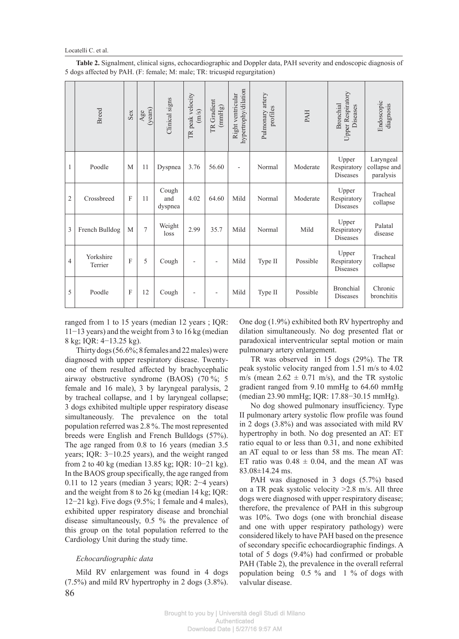| Table 2. Signalment, clinical signs, echocardiographic and Doppler data, PAH severity and endoscopic diagnosis of |  |  |  |  |
|-------------------------------------------------------------------------------------------------------------------|--|--|--|--|
| 5 dogs affected by PAH. (F: female; M: male; TR: tricuspid regurgitation)                                         |  |  |  |  |

|                | <b>Breed</b>         | Sex          | (years)<br>Agee | Clinical signs          | TR peak velocity<br>(m/s)    | TR Gradient<br>(mmHg) | hypertrophy/dilation<br>Right ventricular | Pulmonary artery<br>profiles | PAH      | <b>Upper Respiratory</b><br><b>Bronchial</b><br>Diseases | Endoscopic<br>diagnosis                |
|----------------|----------------------|--------------|-----------------|-------------------------|------------------------------|-----------------------|-------------------------------------------|------------------------------|----------|----------------------------------------------------------|----------------------------------------|
| 1              | Poodle               | M            | 11              | Dyspnea                 | 3.76                         | 56.60                 | $\overline{\phantom{m}}$                  | Normal                       | Moderate | Upper<br>Respiratory<br><b>Diseases</b>                  | Laryngeal<br>collapse and<br>paralysis |
| $\overline{2}$ | Crossbreed           | $\mathbf{F}$ | 11              | Cough<br>and<br>dyspnea | 4.02                         | 64.60                 | Mild                                      | Normal                       | Moderate | Upper<br>Respiratory<br><b>Diseases</b>                  | Tracheal<br>collapse                   |
| 3              | French Bulldog       | M            | $\overline{7}$  | Weight<br>loss          | 2.99                         | 35.7                  | Mild                                      | Normal                       | Mild     | Upper<br>Respiratory<br><b>Diseases</b>                  | Palatal<br>disease                     |
| $\overline{4}$ | Yorkshire<br>Terrier | F            | 5               | Cough                   | $\qquad \qquad \blacksquare$ | ٠                     | Mild                                      | Type II                      | Possible | Upper<br>Respiratory<br><b>Diseases</b>                  | Tracheal<br>collapse                   |
| 5              | Poodle               | F            | 12              | Cough                   |                              | ٠                     | Mild                                      | Type II                      | Possible | <b>Bronchial</b><br><b>Diseases</b>                      | Chronic<br>bronchitis                  |

ranged from 1 to 15 years (median 12 years ; IQR: 11−13 years) and the weight from 3 to 16 kg (median 8 kg; IQR: 4−13.25 kg).

Thirty dogs (56.6%; 8 females and 22 males) were diagnosed with upper respiratory disease. Twentyone of them resulted affected by brachycephalic airway obstructive syndrome (BAOS) (70 %; 5 female and 16 male), 3 by laryngeal paralysis, 2 by tracheal collapse, and 1 by laryngeal collapse; 3 dogs exhibited multiple upper respiratory disease simultaneously. The prevalence on the total population referred was 2.8 %. The most represented breeds were English and French Bulldogs (57%). The age ranged from 0.8 to 16 years (median 3.5 years; IQR: 3−10.25 years), and the weight ranged from 2 to 40 kg (median 13.85 kg; IQR: 10−21 kg). In the BAOS group specifically, the age ranged from 0.11 to 12 years (median 3 years; IQR: 2−4 years) and the weight from 8 to 26 kg (median 14 kg; IQR: 12−21 kg). Five dogs (9.5%; 1 female and 4 males), exhibited upper respiratory disease and bronchial disease simultaneously,  $0.5 \%$  the prevalence of this group on the total population referred to the Cardiology Unit during the study time.

## *Echocardiographic data*

86 Mild RV enlargement was found in 4 dogs (7.5%) and mild RV hypertrophy in 2 dogs (3.8%).

One dog (1.9%) exhibited both RV hypertrophy and dilation simultaneously. No dog presented flat or paradoxical interventricular septal motion or main pulmonary artery enlargement.

TR was observed in 15 dogs (29%). The TR peak systolic velocity ranged from 1.51 m/s to 4.02 m/s (mean  $2.62 \pm 0.71$  m/s), and the TR systolic gradient ranged from 9.10 mmHg to 64.60 mmHg (median 23.90 mmHg; IQR: 17.88−30.15 mmHg).

No dog showed pulmonary insufficiency. Type II pulmonary artery systolic flow profile was found in 2 dogs (3.8%) and was associated with mild RV hypertrophy in both. No dog presented an AT: ET ratio equal to or less than 0.31, and none exhibited an AT equal to or less than 58 ms. The mean AT: ET ratio was  $0.48 \pm 0.04$ , and the mean AT was 83.08±14.24 ms.

PAH was diagnosed in 3 dogs (5.7%) based on a TR peak systolic velocity >2.8 m/s. All three dogs were diagnosed with upper respiratory disease; therefore, the prevalence of PAH in this subgroup was 10%. Two dogs (one with bronchial disease and one with upper respiratory pathology) were considered likely to have PAH based on the presence of secondary specific echocardiographic findings. A total of 5 dogs (9.4%) had confirmed or probable PAH (Table 2), the prevalence in the overall referral population being 0.5 % and 1 % of dogs with valvular disease.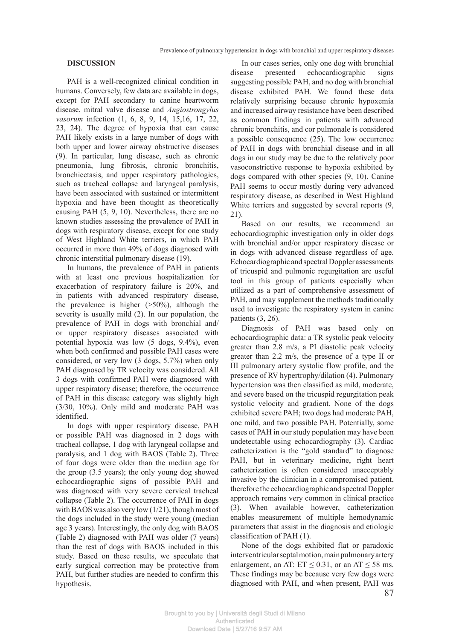## **DISCUSSION**

PAH is a well-recognized clinical condition in humans. Conversely, few data are available in dogs, except for PAH secondary to canine heartworm disease, mitral valve disease and *Angiostrongylus vasorum* infection (1, 6, 8, 9, 14, 15,16, 17, 22, 23, 24). The degree of hypoxia that can cause PAH likely exists in a large number of dogs with both upper and lower airway obstructive diseases (9). In particular, lung disease, such as chronic pneumonia, lung fibrosis, chronic bronchitis, bronchiectasis, and upper respiratory pathologies, such as tracheal collapse and laryngeal paralysis, have been associated with sustained or intermittent hypoxia and have been thought as theoretically causing PAH (5, 9, 10). Nevertheless, there are no known studies assessing the prevalence of PAH in dogs with respiratory disease, except for one study of West Highland White terriers, in which PAH occurred in more than 49% of dogs diagnosed with chronic interstitial pulmonary disease (19).

In humans, the prevalence of PAH in patients with at least one previous hospitalization for exacerbation of respiratory failure is 20%, and in patients with advanced respiratory disease, the prevalence is higher  $(>50\%)$ , although the severity is usually mild (2). In our population, the prevalence of PAH in dogs with bronchial and/ or upper respiratory diseases associated with potential hypoxia was low (5 dogs, 9.4%), even when both confirmed and possible PAH cases were considered, or very low (3 dogs, 5.7%) when only PAH diagnosed by TR velocity was considered. All 3 dogs with confirmed PAH were diagnosed with upper respiratory disease; therefore, the occurrence of PAH in this disease category was slightly high (3/30, 10%). Only mild and moderate PAH was identified.

In dogs with upper respiratory disease, PAH or possible PAH was diagnosed in 2 dogs with tracheal collapse, 1 dog with laryngeal collapse and paralysis, and 1 dog with BAOS (Table 2). Three of four dogs were older than the median age for the group (3.5 years); the only young dog showed echocardiographic signs of possible PAH and was diagnosed with very severe cervical tracheal collapse (Table 2). The occurrence of PAH in dogs with BAOS was also very low (1/21), though most of the dogs included in the study were young (median age 3 years). Interestingly, the only dog with BAOS (Table 2) diagnosed with PAH was older (7 years) than the rest of dogs with BAOS included in this study. Based on these results, we speculate that early surgical correction may be protective from PAH, but further studies are needed to confirm this hypothesis.

In our cases series, only one dog with bronchial disease presented echocardiographic signs suggesting possible PAH, and no dog with bronchial disease exhibited PAH. We found these data relatively surprising because chronic hypoxemia and increased airway resistance have been described as common findings in patients with advanced chronic bronchitis, and cor pulmonale is considered a possible consequence (25). The low occurrence of PAH in dogs with bronchial disease and in all dogs in our study may be due to the relatively poor vasoconstrictive response to hypoxia exhibited by dogs compared with other species (9, 10). Canine PAH seems to occur mostly during very advanced respiratory disease, as described in West Highland White terriers and suggested by several reports (9, 21).

Based on our results, we recommend an echocardiographic investigation only in older dogs with bronchial and/or upper respiratory disease or in dogs with advanced disease regardless of age. Echocardiographic and spectral Doppler assessments of tricuspid and pulmonic regurgitation are useful tool in this group of patients especially when utilized as a part of comprehensive assessment of PAH, and may supplement the methods traditionally used to investigate the respiratory system in canine patients (3, 26).

Diagnosis of PAH was based only on echocardiographic data: a TR systolic peak velocity greater than 2.8 m/s, a PI diastolic peak velocity greater than 2.2 m/s, the presence of a type II or III pulmonary artery systolic flow profile, and the presence of RV hypertrophy/dilation (4). Pulmonary hypertension was then classified as mild, moderate, and severe based on the tricuspid regurgitation peak systolic velocity and gradient. None of the dogs exhibited severe PAH; two dogs had moderate PAH, one mild, and two possible PAH. Potentially, some cases of PAH in our study population may have been undetectable using echocardiography (3). Cardiac catheterization is the "gold standard" to diagnose PAH, but in veterinary medicine, right heart catheterization is often considered unacceptably invasive by the clinician in a compromised patient, therefore the echocardiographic and spectral Doppler approach remains very common in clinical practice (3). When available however, catheterization enables measurement of multiple hemodynamic parameters that assist in the diagnosis and etiologic classification of PAH (1).

None of the dogs exhibited flat or paradoxic interventricular septal motion, main pulmonary artery enlargement, an AT:  $ET \le 0.31$ , or an AT  $\le 58$  ms. These findings may be because very few dogs were diagnosed with PAH, and when present, PAH was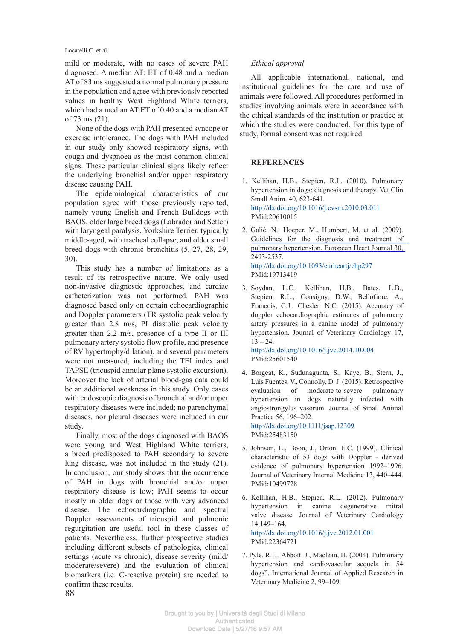mild or moderate, with no cases of severe PAH diagnosed. A median AT: ET of 0.48 and a median AT of 83 ms suggested a normal pulmonary pressure in the population and agree with previously reported values in healthy West Highland White terriers, which had a median AT:ET of 0.40 and a median AT of 73 ms (21).

None of the dogs with PAH presented syncope or exercise intolerance. The dogs with PAH included in our study only showed respiratory signs, with cough and dyspnoea as the most common clinical signs. These particular clinical signs likely reflect the underlying bronchial and/or upper respiratory disease causing PAH.

The epidemiological characteristics of our population agree with those previously reported, namely young English and French Bulldogs with BAOS, older large breed dogs (Labrador and Setter) with laryngeal paralysis, Yorkshire Terrier, typically middle-aged, with tracheal collapse, and older small breed dogs with chronic bronchitis (5, 27, 28, 29, 30).

This study has a number of limitations as a result of its retrospective nature. We only used non-invasive diagnostic approaches, and cardiac catheterization was not performed. PAH was diagnosed based only on certain echocardiographic and Doppler parameters (TR systolic peak velocity greater than 2.8 m/s, PI diastolic peak velocity greater than 2.2 m/s, presence of a type II or III pulmonary artery systolic flow profile, and presence of RV hypertrophy/dilation), and several parameters were not measured, including the TEI index and TAPSE (tricuspid annular plane systolic excursion). Moreover the lack of arterial blood-gas data could be an additional weakness in this study. Only cases with endoscopic diagnosis of bronchial and/or upper respiratory diseases were included; no parenchymal diseases, nor pleural diseases were included in our study.

Finally, most of the dogs diagnosed with BAOS were young and West Highland White terriers, a breed predisposed to PAH secondary to severe lung disease, was not included in the study (21). In conclusion, our study shows that the occurrence of PAH in dogs with bronchial and/or upper respiratory disease is low; PAH seems to occur mostly in older dogs or those with very advanced disease. The echocardiographic and spectral Doppler assessments of tricuspid and pulmonic regurgitation are useful tool in these classes of patients. Nevertheless, further prospective studies including different subsets of pathologies, clinical settings (acute vs chronic), disease severity (mild/ moderate/severe) and the evaluation of clinical biomarkers (i.e. C-reactive protein) are needed to confirm these results.

## *Ethical approval*

All applicable international, national, and institutional guidelines for the care and use of animals were followed. All procedures performed in studies involving animals were in accordance with the ethical standards of the institution or practice at which the studies were conducted. For this type of study, formal consent was not required.

## **REFERENCES**

- 1. Kellihan, H.B., Stepien, R.L. (2010). Pulmonary hypertension in dogs: diagnosis and therapy. Vet Clin Small Anim. 40, 623-641. http://dx.doi.org/10.1016/j.cvsm.2010.03.011 PMid:20610015
- 2. Galiè, N., Hoeper, M., Humbert, M. et al. (2009). Guidelines for the diagnosis and treatment of pulmonary hypertension. European Heart Journal 30, 2493-2537. http://dx.doi.org/10.1093/eurheartj/ehp297 PMid:19713419
- 3. Soydan, L.C., Kellihan, H.B., Bates, L.B., Stepien, R.L., Consigny, D.W., Bellofiore, A., Francois, C.J., Chesler, N.C. (2015). Accuracy of doppler echocardiographic estimates of pulmonary artery pressures in a canine model of pulmonary hypertension. Journal of Veterinary Cardiology 17,  $13 - 24$

http://dx.doi.org/10.1016/j.jvc.2014.10.004 PMid:25601540

- 4. Borgeat, K., Sudunagunta, S., Kaye, B., Stern, J., Luis Fuentes, V., Connolly, D. J. (2015). Retrospective evaluation of moderate-to-severe pulmonary hypertension in dogs naturally infected with angiostrongylus vasorum. Journal of Small Animal Practice 56, 196–202. http://dx.doi.org/10.1111/jsap.12309 PMid:25483150
- 5. Johnson, L., Boon, J., Orton, E.C. (1999). Clinical characteristic of 53 dogs with Doppler - derived evidence of pulmonary hypertension 1992–1996. Journal of Veterinary Internal Medicine 13, 440–444. PMid:10499728
- 6. Kellihan, H.B., Stepien, R.L. (2012). Pulmonary hypertension in canine degenerative mitral valve disease. Journal of Veterinary Cardiology 14,149–164. http://dx.doi.org/10.1016/j.jvc.2012.01.001 PMid:22364721
- 7. Pyle, R.L., Abbott, J., Maclean, H. (2004). Pulmonary hypertension and cardiovascular sequela in 54 dogs". International Journal of Applied Research in Veterinary Medicine 2, 99–109.

88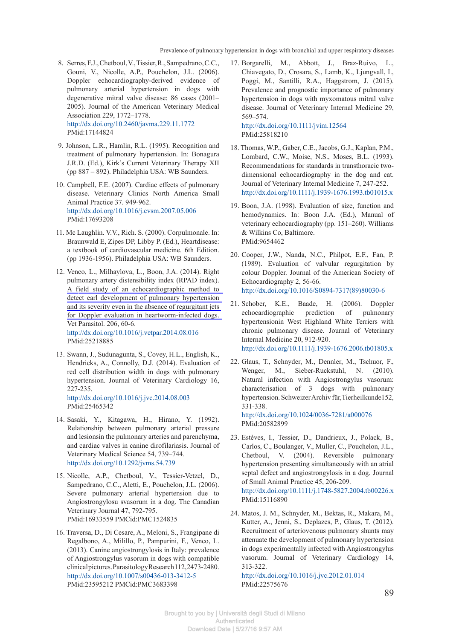- 8. Serres, F.J., Chetboul, V., Tissier, R., Sampedrano, C.C., Gouni, V., Nicolle, A.P., Pouchelon, J.L. (2006). Doppler echocardiography-derived evidence of pulmonary arterial hypertension in dogs with degenerative mitral valve disease: 86 cases (2001– 2005). Journal of the American Veterinary Medical Association 229, 1772–1778. http://dx.doi.org/10.2460/javma.229.11.1772 PMid:17144824
- 9. Johnson, L.R., Hamlin, R.L. (1995). Recognition and treatment of pulmonary hypertension. In: Bonagura J.R.D. (Ed.), Kirk's Current Veterinary Therapy XII (pp 887 – 892). Philadelphia USA: WB Saunders.
- 10. Campbell, F.E. (2007). Cardiac effects of pulmonary disease. Veterinary Clinics North America Small Animal Practice 37. 949-962. http://dx.doi.org/10.1016/j.cvsm.2007.05.006 PMid:17693208
- 11. Mc Laughlin. V.V., Rich. S. (2000). Corpulmonale. In: Braunwald E, Zipes DP, Libby P. (Ed.), Heartdisease: a textbook of cardiovascular medicine. 6th Edition. (pp 1936-1956). Philadelphia USA: WB Saunders.
- 12. Venco, L., Milhaylova, L., Boon, J.A. (2014). Right pulmonary artery distensibility index (RPAD index). A field study of an echocardiographic method to detect earl development of pulmonary hypertension and its severity even in the absence of regurgitant jets for Doppler evaluation in heartworm-infected dogs. Vet Parasitol. 206, 60-6. http://dx.doi.org/10.1016/j.vetpar.2014.08.016 PMid:25218885
- 13. Swann, J., Sudunagunta, S., Covey, H.L., English, K., Hendricks, A., Connolly, D.J. (2014). Evaluation of red cell distribution width in dogs with pulmonary hypertension. Journal of Veterinary Cardiology 16, 227-235. http://dx.doi.org/10.1016/j.jvc.2014.08.003 PMid:25465342
- 14. Sasaki, Y., Kitagawa, H., Hirano, Y. (1992). Relationship between pulmonary arterial pressure and lesionsin the pulmonary arteries and parenchyma, and cardiac valves in canine dirofilariasis. Journal of Veterinary Medical Science 54, 739–744. http://dx.doi.org/10.1292/jvms.54.739
- 15. Nicolle, A.P., Chetboul, V., Tessier-Vetzel, D., Sampedrano, C.C., Aletti, E., Pouchelon, J.L. (2006). Severe pulmonary arterial hypertension due to Angiostrongylosu svasorum in a dog. The Canadian Veterinary Journal 47, 792-795. PMid:16933559 PMCid:PMC1524835
- 16. Traversa, D., Di Cesare, A., Meloni, S., Frangipane di Regalbono, A., Milillo, P., Pampurini, F., Venco, L. (2013). Canine angiostrongylosis in Italy: prevalence of Angiostrongylus vasorum in dogs with compatible clinical pictures. Parasitology Research 112, 2473-2480. http://dx.doi.org/10.1007/s00436-013-3412-5 PMid:23595212 PMCid:PMC3683398

17. Borgarelli, M., Abbott, J., Braz-Ruivo, L., Chiavegato, D., Crosara, S., Lamb, K., Ljungvall, I., Poggi, M., Santilli, R.A., Haggstrom, J. (2015). Prevalence and prognostic importance of pulmonary hypertension in dogs with myxomatous mitral valve disease. Journal of Veterinary Internal Medicine 29, 569–574.

http://dx.doi.org/10.1111/jvim.12564 PMid:25818210

- 18. Thomas, W.P., Gaber, C.E., Jacobs, G.J., Kaplan, P.M., Lombard, C.W., Moise, N.S., Moses, B.L. (1993). Recommendations for standards in transthoracic twodimensional echocardiography in the dog and cat. Journal of Veterinary Internal Medicine 7, 247-252. http://dx.doi.org/10.1111/j.1939-1676.1993.tb01015.x
- 19. Boon, J.A. (1998). Evaluation of size, function and hemodynamics. In: Boon J.A. (Ed.), Manual of veterinary echocardiography (pp. 151–260). Williams & Wilkins Co, Baltimore. PMid:9654462
- 20. Cooper, J.W., Nanda, N.C., Philpot, E.F., Fan, P. (1989). Evaluation of valvular regurgitation by colour Doppler. Journal of the American Society of Echocardiography 2, 56-66. http://dx.doi.org/10.1016/S0894-7317(89)80030-6
- 21. Schober, K.E., Baade, H. (2006). Doppler echocardiographic prediction of pulmonary hypertensionin West Highland White Terriers with chronic pulmonary disease. Journal of Veterinary Internal Medicine 20, 912-920. http://dx.doi.org/10.1111/j.1939-1676.2006.tb01805.x
- 22. Glaus, T., Schnyder, M., Dennler, M., Tschuor, F., Wenger, M., Sieber-Ruckstuhl, N. (2010). Natural infection with Angiostrongylus vasorum: characterisation of 3 dogs with pulmonary hypertension. Schweizer Archiv für,Tierheilkunde152, 331-338. http://dx.doi.org/10.1024/0036-7281/a000076

PMid:20582899

- 23. Estèves, I., Tessier, D., Dandrieux, J., Polack, B., Carlos, C., Boulanger, V., Muller, C., Pouchelon, J.L., Chetboul, V. (2004). Reversible pulmonary hypertension presenting simultaneously with an atrial septal defect and angiostrongylosis in a dog. Journal of Small Animal Practice 45, 206-209. http://dx.doi.org/10.1111/j.1748-5827.2004.tb00226.x PMid:15116890
- 24. Matos, J. M., Schnyder, M., Bektas, R., Makara, M., Kutter, A., Jenni, S., Deplazes, P., Glaus, T. (2012). Recruitment of arteriovenous pulmonary shunts may attenuate the development of pulmonary hypertension in dogs experimentally infected with Angiostrongylus vasorum. Journal of Veterinary Cardiology 14, 313-322.

http://dx.doi.org/10.1016/j.jvc.2012.01.014 PMid:22575676